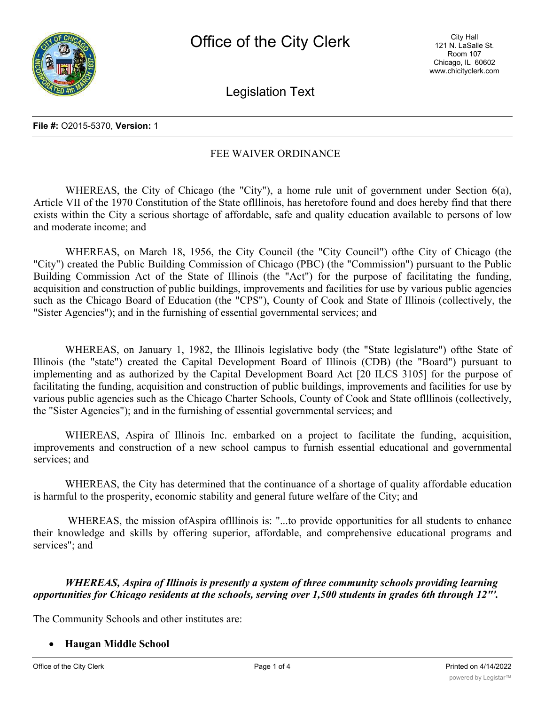Legislation Text

#### **File #:** O2015-5370, **Version:** 1

# FEE WAIVER ORDINANCE

WHEREAS, the City of Chicago (the "City"), a home rule unit of government under Section 6(a), Article VII of the 1970 Constitution of the State oflllinois, has heretofore found and does hereby find that there exists within the City a serious shortage of affordable, safe and quality education available to persons of low and moderate income; and

WHEREAS, on March 18, 1956, the City Council (the "City Council") ofthe City of Chicago (the "City") created the Public Building Commission of Chicago (PBC) (the "Commission") pursuant to the Public Building Commission Act of the State of Illinois (the "Act") for the purpose of facilitating the funding, acquisition and construction of public buildings, improvements and facilities for use by various public agencies such as the Chicago Board of Education (the "CPS"), County of Cook and State of Illinois (collectively, the "Sister Agencies"); and in the furnishing of essential governmental services; and

WHEREAS, on January 1, 1982, the Illinois legislative body (the "State legislature") ofthe State of Illinois (the "state") created the Capital Development Board of Illinois (CDB) (the "Board") pursuant to implementing and as authorized by the Capital Development Board Act [20 ILCS 3105] for the purpose of facilitating the funding, acquisition and construction of public buildings, improvements and facilities for use by various public agencies such as the Chicago Charter Schools, County of Cook and State oflllinois (collectively, the "Sister Agencies"); and in the furnishing of essential governmental services; and

WHEREAS, Aspira of Illinois Inc. embarked on a project to facilitate the funding, acquisition, improvements and construction of a new school campus to furnish essential educational and governmental services; and

WHEREAS, the City has determined that the continuance of a shortage of quality affordable education is harmful to the prosperity, economic stability and general future welfare of the City; and

WHEREAS, the mission of Aspira of Illinois is: "...to provide opportunities for all students to enhance their knowledge and skills by offering superior, affordable, and comprehensive educational programs and services"; and

*WHEREAS, Aspira of Illinois is presently a system of three community schools providing learning opportunities for Chicago residents at the schools, serving over 1,500 students in grades 6th through 12"'.*

The Community Schools and other institutes are:

#### · **Haugan Middle School**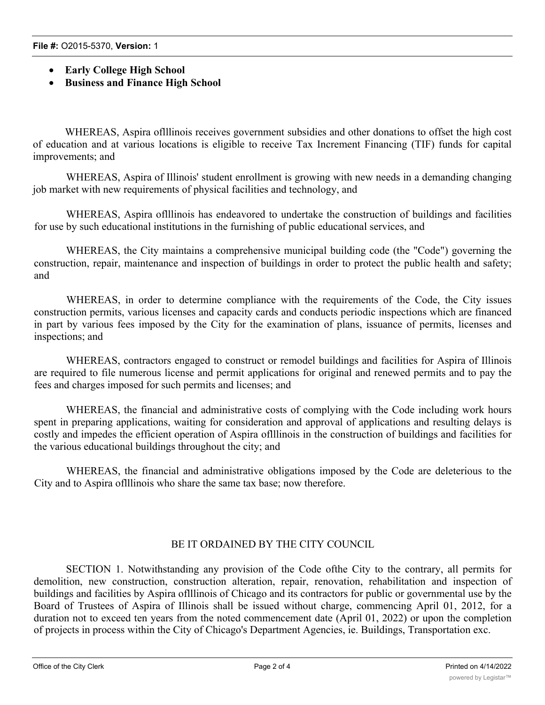- · **Early College High School**
- · **Business and Finance High School**

WHEREAS, Aspira oflllinois receives government subsidies and other donations to offset the high cost of education and at various locations is eligible to receive Tax Increment Financing (TIF) funds for capital improvements; and

WHEREAS, Aspira of Illinois' student enrollment is growing with new needs in a demanding changing job market with new requirements of physical facilities and technology, and

WHEREAS, Aspira oflllinois has endeavored to undertake the construction of buildings and facilities for use by such educational institutions in the furnishing of public educational services, and

WHEREAS, the City maintains a comprehensive municipal building code (the "Code") governing the construction, repair, maintenance and inspection of buildings in order to protect the public health and safety; and

WHEREAS, in order to determine compliance with the requirements of the Code, the City issues construction permits, various licenses and capacity cards and conducts periodic inspections which are financed in part by various fees imposed by the City for the examination of plans, issuance of permits, licenses and inspections; and

WHEREAS, contractors engaged to construct or remodel buildings and facilities for Aspira of Illinois are required to file numerous license and permit applications for original and renewed permits and to pay the fees and charges imposed for such permits and licenses; and

WHEREAS, the financial and administrative costs of complying with the Code including work hours spent in preparing applications, waiting for consideration and approval of applications and resulting delays is costly and impedes the efficient operation of Aspira oflllinois in the construction of buildings and facilities for the various educational buildings throughout the city; and

WHEREAS, the financial and administrative obligations imposed by the Code are deleterious to the City and to Aspira oflllinois who share the same tax base; now therefore.

## BE IT ORDAINED BY THE CITY COUNCIL

SECTION 1. Notwithstanding any provision of the Code ofthe City to the contrary, all permits for demolition, new construction, construction alteration, repair, renovation, rehabilitation and inspection of buildings and facilities by Aspira oflllinois of Chicago and its contractors for public or governmental use by the Board of Trustees of Aspira of Illinois shall be issued without charge, commencing April 01, 2012, for a duration not to exceed ten years from the noted commencement date (April 01, 2022) or upon the completion of projects in process within the City of Chicago's Department Agencies, ie. Buildings, Transportation exc.

SECTION 2. This Ordinance shall not absolve or release Aspira of Illinois or its contractors from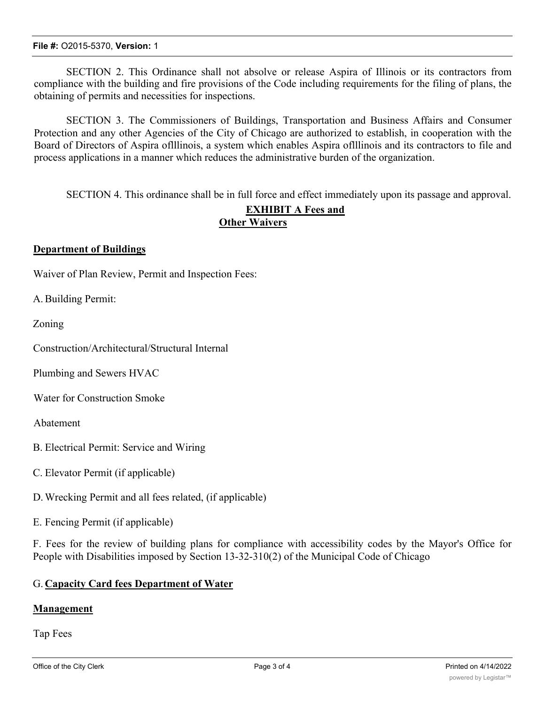SECTION 2. This Ordinance shall not absolve or release Aspira of Illinois or its contractors from compliance with the building and fire provisions of the Code including requirements for the filing of plans, the obtaining of permits and necessities for inspections.

SECTION 3. The Commissioners of Buildings, Transportation and Business Affairs and Consumer Protection and any other Agencies of the City of Chicago are authorized to establish, in cooperation with the Board of Directors of Aspira oflllinois, a system which enables Aspira oflllinois and its contractors to file and process applications in a manner which reduces the administrative burden of the organization.

SECTION 4. This ordinance shall be in full force and effect immediately upon its passage and approval.

# **EXHIBIT A Fees and Other Waivers**

## **Department of Buildings**

Waiver of Plan Review, Permit and Inspection Fees:

A.Building Permit:

Zoning

Construction/Architectural/Structural Internal

Plumbing and Sewers HVAC

Water for Construction Smoke

Abatement

- B. Electrical Permit: Service and Wiring
- C. Elevator Permit (if applicable)
- D.Wrecking Permit and all fees related, (if applicable)
- E. Fencing Permit (if applicable)

F. Fees for the review of building plans for compliance with accessibility codes by the Mayor's Office for People with Disabilities imposed by Section 13-32-310(2) of the Municipal Code of Chicago

#### G. **Capacity Card fees Department of Water**

#### **Management**

Tap Fees